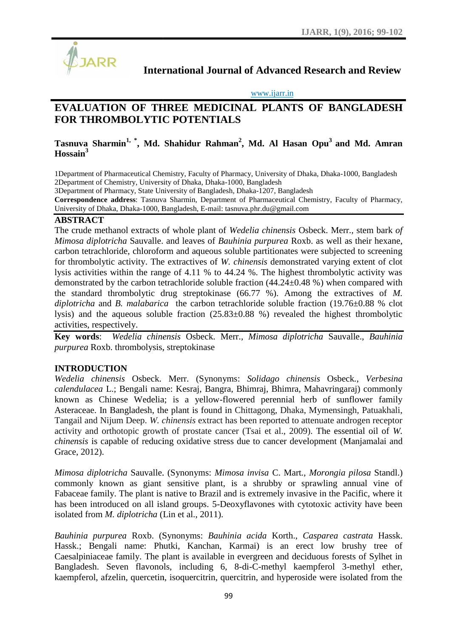

**International Journal of Advanced Research and Review**

#### www.ijarr.in

# International Journal of Advanced Research and Review<br>
<u>www.ijarr.in</u><br> **EVALUATION OF THREE MEDICINAL PLANTS OF BANGLADESH FOR THROMBOLYTIC POTENTIALS**

# **Tasnuva Sharmin1, \* , Md. Shahidur Rahman<sup>2</sup> , Md. Al Hasan Opu<sup>3</sup> and Md. Amran AmranHossain<sup>3</sup>**

1Department of Pharmaceutical Chemistry, Faculty of Pharmacy, University of Dhaka, Dhaka-1000, Bangladesh Pharmaceutical Dhaka-1000, Bangladesh 2Department of Chemistry, University of Dhaka, Dhaka-1000, Bangladesh

3Department of Pharmacy, State University of Bangladesh, Dhaka-1207, Bangladesh

**Correspondence address**: Tasnuva Sharmin, Department of Pharmaceutical Chemistry, Faculty of Pharmacy, University of Dhaka, Dhaka-1000, Bangladesh, E-mail: tasnuva.phr.du@gmail.com of Pharmacy, State University of Bangladesh, Dhaka-1207, Bangladesh<br>**nce address**: Tasnuva Sharmin, Department of Pharmaceutical Chemistry, Faculty of<br>Dhaka, Dhaka-1000, Bangladesh, E-mail: tasnuva.phr.du@gmail.com

# **ABSTRACT**

The crude methanol extracts of whole plant of *Wedelia chinensis* Osbeck. Merr.*,* stem bark *of ofMimosa diplotricha* Sauvalle. and leaves of *Bauhinia purpurea* Roxb. as well as their hexane, carbon tetrachloride, chloroform and aqueous soluble partitionates were subjected to screening for thrombolytic activity. The extractives of *W. chinensis* demonstrated varying extent of clot lysis activities within the range of 4.11 % to 44.24 %. The highest thrombolytic activity was *Mimosa diplotricha* Sauvalle. and leaves of *Bauhinia purpurea* Roxb. as well as their hexane, carbon tetrachloride, chloroform and aqueous soluble partitionates were subjected to screening for thrombolytic activity. The the standard thrombolytic drug streptokinase (66.77 %). Among the extractives of M. *diplotricha* and *B. malabarica* the carbon tetrachloride soluble fraction (19.76±0.88 % clot lysis) and the aqueous soluble fraction (25.83±0.88 %) revealed the highest thrombolytic activities, respectively. *diplotricha* and *B. malabarica* the carbon tetrachloride soluble fraction (19.76±0.88 % clot lysis) and the aqueous soluble fraction (25.83±0.88 %) revealed the highest thrombolytic activities, respectively.<br> **Key words** valle, and leaves of *Bauhinia purpurea* Roxb. as well as their hexane-<br>or orform and aqueous soluble partitionates were subjected to screening<br>or. The extractives of W. chinensis demonstrated varying extent of clote<br>range

*purpurea* Roxb. thrombolysis, streptokinase

# **INTRODUCTION**

*Wedelia chinensis* Osbeck. Merr. (Synonyms: *Solidago chinensis* Osbeck., Verbesina *calendulacea* L.; Bengali name: Kesraj, Bangra, Bhimraj, Bhimra, Mahavringaraj) commonly known as Chinese Wedelia; is a yellow-flowered perennial herb of sunflower family Asteraceae. In Bangladesh, the plant is found in Chittagong, Dhaka, Mymensingh, Patuakhali, Tangail and Nijum Deep. *W. chinensis* extract has been reported to attenuate androgen receptor activity and orthotopic growth of prostate cancer (Tsai et al., 2009). The essential oil of *W.* Tangail and Nijum Deep. *W. chinensis* extract has been reported to attenuate androgen receptor activity and orthotopic growth of prostate cancer (Tsai et al., 2009). The essential oil of *W. chinensis* is capable of reduc Grace, 2012). a L.; Bengali name: Kesraj, Bangra, Bhimraj, Bhimra, Mahavringaraj) commonly Chinese Wedelia; is a yellow-flowered perennial herb of sunflower family In Bangladesh, the plant is found in Chittagong, Dhaka, Mymensingh, Patu

*Mimosa diplotricha* Sauvalle. (Synonyms: *Mimosa invisa* C. Mart., *Morongia pilosa* Standl.) commonly known as giant sensitive plant, is a shrubby or sprawling annual vine of commonly known as giant sensitive plant, is a shrubby or sprawling annual vine of Fabaceae family. The plant is native to Brazil and is extremely invasive in the Pacific, where it has been introduced on all island groups. 5-Deoxyflavones with cytotoxic activity have been isolated from *M. diplotricha* (Lin et al., 2011).

*Bauhinia purpurea* Roxb. (Synonyms: *Bauhinia acida* Korth., *Casparea castrata* Hassk. Hassk.; Bengali name: Phutki, Kanchan, Karmai) is an erect low brushy tree of Caesalpiniaceae family. The plant is available in evergreen and deciduous forests of Sylhet in Bangladesh. Seven flavonols, including 6, 8-di-C-methyl kaempferol 3-methyl ether, kaempferol, afzelin, quercetin, isoquercitrin, quercitrin, and hyperoside were isolated from the introduced on all island groups. 5-Deoxyflavones with cytotoxic activity have been<br>rom *M. diplotricha* (Lin et al., 2011).<br>*purpurea* Roxb. (Synonyms: *Bauhinia acida* Korth., *Casparea castrata* Hassk.<br>Bengali name: Phut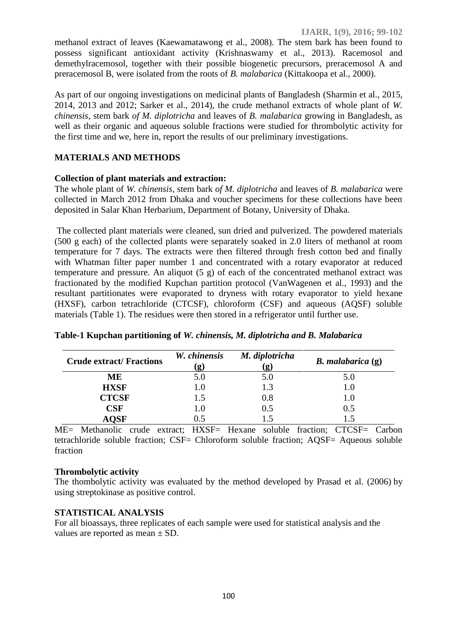methanol extract of leaves (Kaewamatawong et al., 2008). The stem bark has been found to possess significant antioxidant activity (Krishnaswamy et al., 2013). Racemosol and demethylracemosol, together with their possible biogenetic precursors, preracemosol A and preracemosol B, were isolated from the roots of *B. malabarica* (Kittakoopa et al., 2000).

As part of our ongoing investigations on medicinal plants of Bangladesh (Sharmin et al., 2015, 2014, 2013 and 2012; Sarker et al., 2014), the crude methanol extracts of whole plant of *W. chinensis,* stem bark *of M. diplotricha* and leaves of *B. malabarica* growing in Bangladesh, as well as their organic and aqueous soluble fractions were studied for thrombolytic activity for the first time and we, here in, report the results of our preliminary investigations.

# **MATERIALS AND METHODS**

#### **Collection of plant materials and extraction:**

The whole plant of *W. chinensis,* stem bark *of M. diplotricha* and leaves of *B. malabarica* were collected in March 2012 from Dhaka and voucher specimens for these collections have been deposited in Salar Khan Herbarium, Department of Botany, University of Dhaka.

The collected plant materials were cleaned, sun dried and pulverized. The powdered materials (500 g each) of the collected plants were separately soaked in 2.0 liters of methanol at room temperature for 7 days. The extracts were then filtered through fresh cotton bed and finally with Whatman filter paper number 1 and concentrated with a rotary evaporator at reduced temperature and pressure. An aliquot  $(5 \text{ g})$  of each of the concentrated methanol extract was fractionated by the modified Kupchan partition protocol (VanWagenen et al., 1993) and the resultant partitionates were evaporated to dryness with rotary evaporator to yield hexane (HXSF), carbon tetrachloride (CTCSF), chloroform (CSF) and aqueous (AQSF) soluble materials (Table 1). The residues were then stored in a refrigerator until further use.

| <b>Crude extract/ Fractions</b> | W. chinensis<br>$\mathbf{g}$ | M. diplotricha<br>g | $B.$ malabarica $(g)$ |
|---------------------------------|------------------------------|---------------------|-----------------------|
| MЕ                              | 5.0                          | 5.0                 | 5.0                   |
| <b>HXSF</b>                     | $1.0\,$                      |                     |                       |
| <b>CTCSF</b>                    | 1.5                          | 0.8                 |                       |
| CSF                             | 1.0                          | 0.5                 | 0.5                   |
| OSF                             |                              |                     |                       |

|  | Table-1 Kupchan partitioning of W. chinensis, M. diplotricha and B. Malabarica |  |
|--|--------------------------------------------------------------------------------|--|
|  |                                                                                |  |

ME= Methanolic crude extract; HXSF= Hexane soluble fraction; CTCSF= Carbon tetrachloride soluble fraction; CSF= Chloroform soluble fraction; AQSF= Aqueous soluble fraction

#### **Thrombolytic activity**

The thombolytic activity was evaluated by the method developed by Prasad et al. (2006) by using streptokinase as positive control.

#### **STATISTICAL ANALYSIS**

For all bioassays, three replicates of each sample were used for statistical analysis and the values are reported as mean  $\pm$  SD.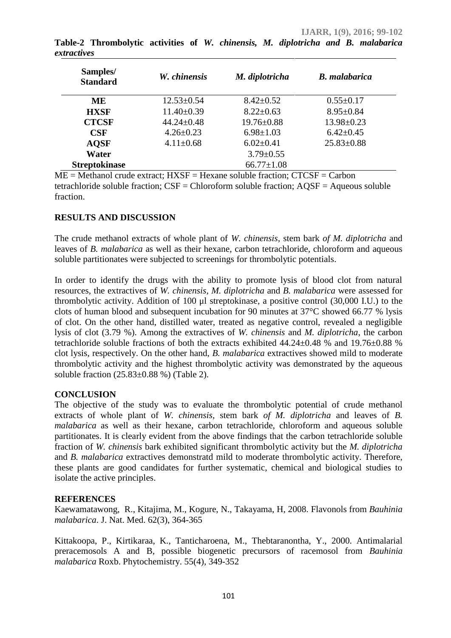| Samples/<br><b>Standard</b> | W. chinensis     | M. diplotricha   | <b>B.</b> malabarica |
|-----------------------------|------------------|------------------|----------------------|
| <b>ME</b>                   | $12.53 \pm 0.54$ | $8.42 \pm 0.52$  | $0.55 \pm 0.17$      |
| <b>HXSF</b>                 | $11.40\pm0.39$   | $8.22 \pm 0.63$  | $8.95 \pm 0.84$      |
| <b>CTCSF</b>                | $44.24 \pm 0.48$ | $19.76 \pm 0.88$ | $13.98 \pm 0.23$     |
| <b>CSF</b>                  | $4.26 \pm 0.23$  | $6.98 \pm 1.03$  | $6.42 \pm 0.45$      |
| <b>AQSF</b>                 | $4.11 \pm 0.68$  | $6.02 \pm 0.41$  | $25.83 \pm 0.88$     |
| Water                       |                  | $3.79 \pm 0.55$  |                      |
| <b>Streptokinase</b>        |                  | $66.77 \pm 1.08$ |                      |
|                             |                  |                  |                      |

**Table-2 Thrombolytic activities of** *W. chinensis, M. diplotricha and B. malabarica extractives*

 $ME = Method$  crude extract:  $HXSF = Hexane$  soluble fraction;  $CTCSF = Carbon$ tetrachloride soluble fraction; CSF = Chloroform soluble fraction; AQSF = Aqueous soluble fraction.

#### **RESULTS AND DISCUSSION**

The crude methanol extracts of whole plant of *W. chinensis,* stem bark *of M. diplotricha* and leaves of *B. malabarica* as well as their hexane, carbon tetrachloride, chloroform and aqueous soluble partitionates were subjected to screenings for thrombolytic potentials.

In order to identify the drugs with the ability to promote lysis of blood clot from natural resources, the extractives of *W. chinensis, M. diplotricha* and *B. malabarica* were assessed for thrombolytic activity. Addition of 100 μl streptokinase, a positive control (30,000 I.U.) to the clots of human blood and subsequent incubation for 90 minutes at 37°C showed 66.77 % lysis of clot. On the other hand, distilled water, treated as negative control, revealed a negligible lysis of clot (3.79 %).Among the extractives of *W. chinensis* and *M. diplotricha*, the carbon tetrachloride soluble fractions of both the extracts exhibited 44.24±0.48 % and 19.76±0.88 % clot lysis, respectively. On the other hand, *B. malabarica* extractives showed mild to moderate thrombolytic activity and the highest thrombolytic activity was demonstrated by the aqueous soluble fraction  $(25.83\pm0.88\%)$  (Table 2).

# **CONCLUSION**

The objective of the study was to evaluate the thrombolytic potential of crude methanol extracts of whole plant of *W. chinensis,* stem bark *of M. diplotricha* and leaves of *B. malabarica* as well as their hexane, carbon tetrachloride, chloroform and aqueous soluble partitionates. It is clearly evident from the above findings that the carbon tetrachloride soluble fraction of *W. chinensis* bark exhibited significant thrombolytic activity but the *M. diplotricha* and *B. malabarica* extractives demonstratd mild to moderate thrombolytic activity. Therefore, these plants are good candidates for further systematic, chemical and biological studies to isolate the active principles.

# **REFERENCES**

Kaewamatawong, R., Kitajima, M., Kogure, N., Takayama, H, 2008. Flavonols from *Bauhinia malabarica*. J. Nat. Med. 62(3), 364-365

Kittakoopa, P., Kirtikaraa, K., Tanticharoena, M., Thebtaranontha, Y., 2000. Antimalarial preracemosols A and B, possible biogenetic precursors of racemosol from *Bauhinia malabarica* Roxb. Phytochemistry. 55(4), 349-352